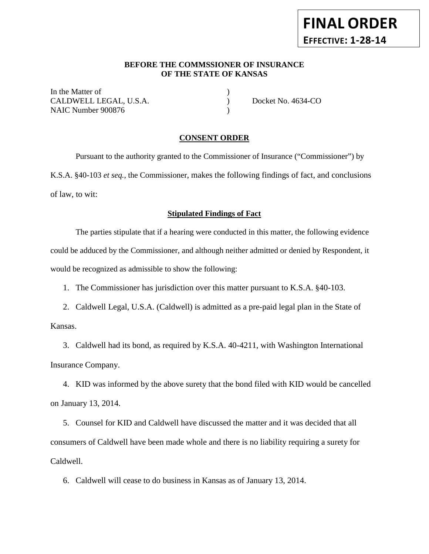# **FINAL ORDER EFFECTIVE: 1-28-14**

## **BEFORE THE COMMSSIONER OF INSURANCE OF THE STATE OF KANSAS**

In the Matter of  $\hspace{1.5cm}$  ) CALDWELL LEGAL, U.S.A. ) Docket No. 4634-CO NAIC Number 900876 (a)

## **CONSENT ORDER**

Pursuant to the authority granted to the Commissioner of Insurance ("Commissioner") by K.S.A. §40-103 *et seq.*, the Commissioner, makes the following findings of fact, and conclusions of law, to wit:

## **Stipulated Findings of Fact**

The parties stipulate that if a hearing were conducted in this matter, the following evidence could be adduced by the Commissioner, and although neither admitted or denied by Respondent, it would be recognized as admissible to show the following:

1. The Commissioner has jurisdiction over this matter pursuant to K.S.A. §40-103.

2. Caldwell Legal, U.S.A. (Caldwell) is admitted as a pre-paid legal plan in the State of

Kansas.

3. Caldwell had its bond, as required by K.S.A. 40-4211, with Washington International Insurance Company.

4. KID was informed by the above surety that the bond filed with KID would be cancelled on January 13, 2014.

5. Counsel for KID and Caldwell have discussed the matter and it was decided that all consumers of Caldwell have been made whole and there is no liability requiring a surety for Caldwell.

6. Caldwell will cease to do business in Kansas as of January 13, 2014.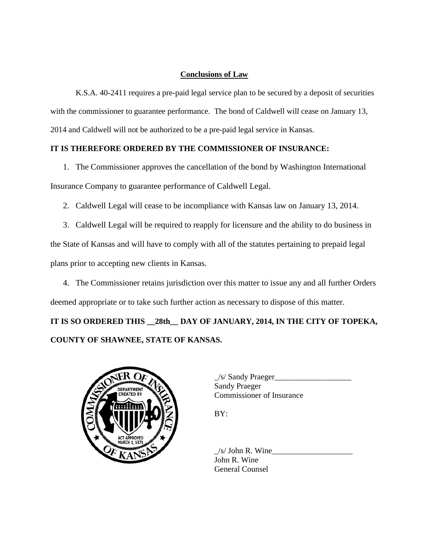## **Conclusions of Law**

K.S.A. 40-2411 requires a pre-paid legal service plan to be secured by a deposit of securities with the commissioner to guarantee performance. The bond of Caldwell will cease on January 13, 2014 and Caldwell will not be authorized to be a pre-paid legal service in Kansas.

## **IT IS THEREFORE ORDERED BY THE COMMISSIONER OF INSURANCE:**

1. The Commissioner approves the cancellation of the bond by Washington International Insurance Company to guarantee performance of Caldwell Legal.

- 2. Caldwell Legal will cease to be incompliance with Kansas law on January 13, 2014.
- 3. Caldwell Legal will be required to reapply for licensure and the ability to do business in the State of Kansas and will have to comply with all of the statutes pertaining to prepaid legal plans prior to accepting new clients in Kansas.

4. The Commissioner retains jurisdiction over this matter to issue any and all further Orders deemed appropriate or to take such further action as necessary to dispose of this matter.

**IT IS SO ORDERED THIS \_\_28th\_\_ DAY OF JANUARY, 2014, IN THE CITY OF TOPEKA, COUNTY OF SHAWNEE, STATE OF KANSAS.** 



 $\angle$ s/ Sandy Praeger $\angle$ Sandy Praeger Commissioner of Insurance

BY:

 $/s/$  John R. Wine John R. Wine General Counsel